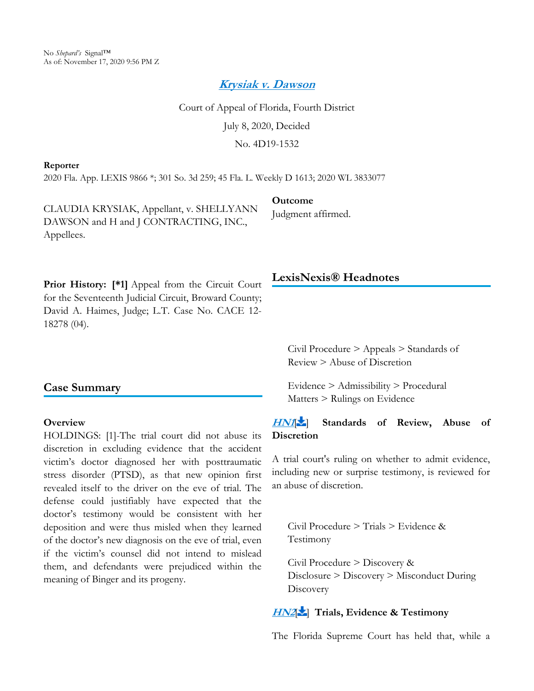*[Krysiak v. Dawson](https://advance.lexis.com/api/document?collection=cases&id=urn:contentItem:609T-RHJ1-FJM6-60HR-00000-00&context=)*

Court of Appeal of Florida, Fourth District July 8, 2020, Decided No. 4D19-1532

**Outcome**

Judgment affirmed.

#### **Reporter**

2020 Fla. App. LEXIS 9866 \*; 301 So. 3d 259; 45 Fla. L. Weekly D 1613; 2020 WL 3833077

CLAUDIA KRYSIAK, Appellant, v. SHELLYANN DAWSON and H and J CONTRACTING, INC., Appellees.

Prior History: [\*1] Appeal from the Circuit Court for the Seventeenth Judicial Circuit, Broward County; David A. Haimes, Judge; L.T. Case No. CACE 12- 18278 (04).

## **Case Summary**

#### **Overview**

HOLDINGS: [1]-The trial court did not abuse its discretion in excluding evidence that the accident victim's doctor diagnosed her with posttraumatic stress disorder (PTSD), as that new opinion first revealed itself to the driver on the eve of trial. The defense could justifiably have expected that the doctor's testimony would be consistent with her deposition and were thus misled when they learned of the doctor's new diagnosis on the eve of trial, even if the victim's counsel did not intend to mislead them, and defendants were prejudiced within the meaning of Binger and its progeny.

### **LexisNexis® Headnotes**

Civil Procedure > Appeals > Standards of Review > Abuse of Discretion

Evidence > Admissibility > Procedural Matters > Rulings on Evidence

## *[HN1](https://advance.lexis.com/api/document?collection=cases&id=urn:contentItem:609T-RHJ1-FJM6-60HR-00000-00&context=&link=LNHNREFclscc1)*[ ] **Standards of Review, Abuse of Discretion**

A trial court's ruling on whether to admit evidence, including new or surprise testimony, is reviewed for an abuse of discretion.

<span id="page-0-0"></span>Civil Procedure > Trials > Evidence & Testimony

Civil Procedure > Discovery & Disclosure > Discovery > Misconduct During **Discovery** 

# *[HN2](https://advance.lexis.com/api/document?collection=cases&id=urn:contentItem:609T-RHJ1-FJM6-60HR-00000-00&context=&link=LNHNREFclscc2)*[\[](#page-5-0) ] **Trials, Evidence & Testimony**

The Florida Supreme Court has held that, while a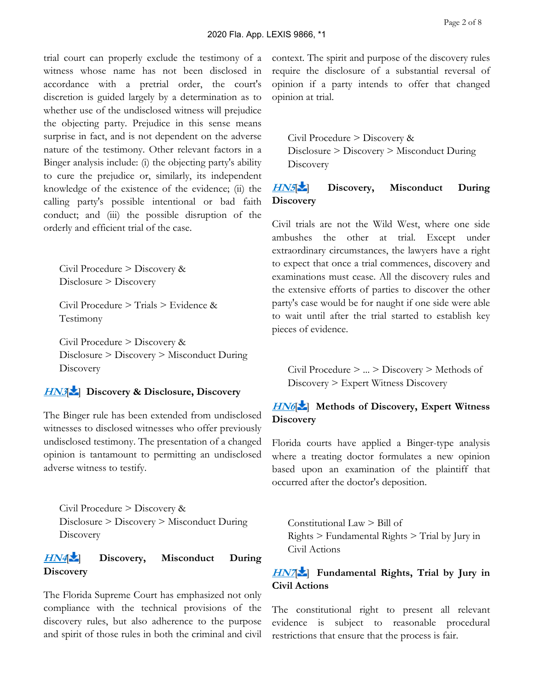trial court can properly exclude the testimony of a witness whose name has not been disclosed in accordance with a pretrial order, the court's discretion is guided largely by a determination as to whether use of the undisclosed witness will prejudice the objecting party. Prejudice in this sense means surprise in fact, and is not dependent on the adverse nature of the testimony. Other relevant factors in a Binger analysis include: (i) the objecting party's ability to cure the prejudice or, similarly, its independent knowledge of the existence of the evidence; (ii) the calling party's possible intentional or bad faith conduct; and (iii) the possible disruption of the orderly and efficient trial of the case.

<span id="page-1-0"></span>Civil Procedure > Discovery & Disclosure > Discovery

Civil Procedure > Trials > Evidence & Testimony

Civil Procedure > Discovery & Disclosure > Discovery > Misconduct During **Discovery** 

## *[HN3](https://advance.lexis.com/api/document?collection=cases&id=urn:contentItem:609T-RHJ1-FJM6-60HR-00000-00&context=&link=LNHNREFclscc3)*[\[](#page-6-0) ] **Discovery & Disclosure, Discovery**

The Binger rule has been extended from undisclosed witnesses to disclosed witnesses who offer previously undisclosed testimony. The presentation of a changed opinion is tantamount to permitting an undisclosed adverse witness to testify.

<span id="page-1-1"></span>Civil Procedure > Discovery & Disclosure > Discovery > Misconduct During **Discovery** 

# *[HN4](https://advance.lexis.com/api/document?collection=cases&id=urn:contentItem:609T-RHJ1-FJM6-60HR-00000-00&context=&link=LNHNREFclscc4)*[\[](#page-6-1) ] **Discovery, Misconduct During Discovery**

The Florida Supreme Court has emphasized not only compliance with the technical provisions of the discovery rules, but also adherence to the purpose and spirit of those rules in both the criminal and civil context. The spirit and purpose of the discovery rules require the disclosure of a substantial reversal of opinion if a party intends to offer that changed opinion at trial.

<span id="page-1-2"></span>Civil Procedure > Discovery & Disclosure > Discovery > Misconduct During **Discovery** 

# *[HN5](https://advance.lexis.com/api/document?collection=cases&id=urn:contentItem:609T-RHJ1-FJM6-60HR-00000-00&context=&link=LNHNREFclscc5)*[\[](#page-6-2) ] **Discovery, Misconduct During Discovery**

Civil trials are not the Wild West, where one side ambushes the other at trial. Except under extraordinary circumstances, the lawyers have a right to expect that once a trial commences, discovery and examinations must cease. All the discovery rules and the extensive efforts of parties to discover the other party's case would be for naught if one side were able to wait until after the trial started to establish key pieces of evidence.

<span id="page-1-3"></span>Civil Procedure > ... > Discovery > Methods of Discovery > Expert Witness Discovery

# **[HN6](https://advance.lexis.com/api/document?collection=cases&id=urn:contentItem:609T-RHJ1-FJM6-60HR-00000-00&context=&link=LNHNREFclscc6)<sup>[\[](#page-6-3)1</sup>]** Methods of Discovery, Expert Witness **Discovery**

Florida courts have applied a Binger-type analysis where a treating doctor formulates a new opinion based upon an examination of the plaintiff that occurred after the doctor's deposition.

<span id="page-1-4"></span>Constitutional Law > Bill of Rights > Fundamental Rights > Trial by Jury in Civil Actions

## *[HN7](https://advance.lexis.com/api/document?collection=cases&id=urn:contentItem:609T-RHJ1-FJM6-60HR-00000-00&context=&link=LNHNREFclscc7)*[\[](#page-7-0) ] **Fundamental Rights, Trial by Jury in Civil Actions**

The constitutional right to present all relevant evidence is subject to reasonable procedural restrictions that ensure that the process is fair.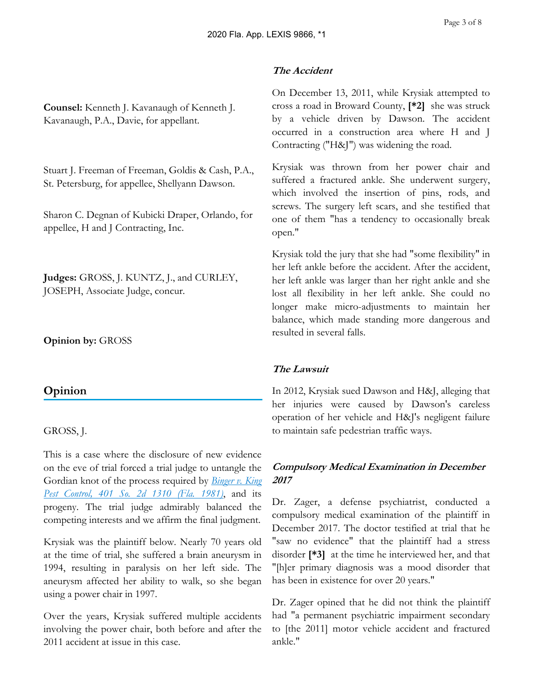**Counsel:** Kenneth J. Kavanaugh of Kenneth J. Kavanaugh, P.A., Davie, for appellant.

Stuart J. Freeman of Freeman, Goldis & Cash, P.A., St. Petersburg, for appellee, Shellyann Dawson.

Sharon C. Degnan of Kubicki Draper, Orlando, for appellee, H and J Contracting, Inc.

**Judges:** GROSS, J. KUNTZ, J., and CURLEY, JOSEPH, Associate Judge, concur.

**Opinion by:** GROSS

# **Opinion**

## GROSS, J.

This is a case where the disclosure of new evidence on the eve of trial forced a trial judge to untangle the Gordian knot of the process required by *[Binger v. King](https://advance.lexis.com/api/document?collection=cases&id=urn:contentItem:3RRM-31X0-003C-X1N9-00000-00&context=)  [Pest Control, 401 So. 2d 1310 \(Fla. 1981\)](https://advance.lexis.com/api/document?collection=cases&id=urn:contentItem:3RRM-31X0-003C-X1N9-00000-00&context=)*, and its progeny. The trial judge admirably balanced the competing interests and we affirm the final judgment.

Krysiak was the plaintiff below. Nearly 70 years old at the time of trial, she suffered a brain aneurysm in 1994, resulting in paralysis on her left side. The aneurysm affected her ability to walk, so she began using a power chair in 1997.

Over the years, Krysiak suffered multiple accidents involving the power chair, both before and after the 2011 accident at issue in this case.

### *The Accident*

On December 13, 2011, while Krysiak attempted to cross a road in Broward County, **[\*2]** she was struck by a vehicle driven by Dawson. The accident occurred in a construction area where H and J Contracting ("H&J") was widening the road.

Krysiak was thrown from her power chair and suffered a fractured ankle. She underwent surgery, which involved the insertion of pins, rods, and screws. The surgery left scars, and she testified that one of them "has a tendency to occasionally break open."

Krysiak told the jury that she had "some flexibility" in her left ankle before the accident. After the accident, her left ankle was larger than her right ankle and she lost all flexibility in her left ankle. She could no longer make micro-adjustments to maintain her balance, which made standing more dangerous and resulted in several falls.

## *The Lawsuit*

In 2012, Krysiak sued Dawson and H&J, alleging that her injuries were caused by Dawson's careless operation of her vehicle and H&J's negligent failure to maintain safe pedestrian traffic ways.

# *Compulsory Medical Examination in December 2017*

Dr. Zager, a defense psychiatrist, conducted a compulsory medical examination of the plaintiff in December 2017. The doctor testified at trial that he "saw no evidence" that the plaintiff had a stress disorder **[\*3]** at the time he interviewed her, and that "[h]er primary diagnosis was a mood disorder that has been in existence for over 20 years."

Dr. Zager opined that he did not think the plaintiff had "a permanent psychiatric impairment secondary to [the 2011] motor vehicle accident and fractured ankle."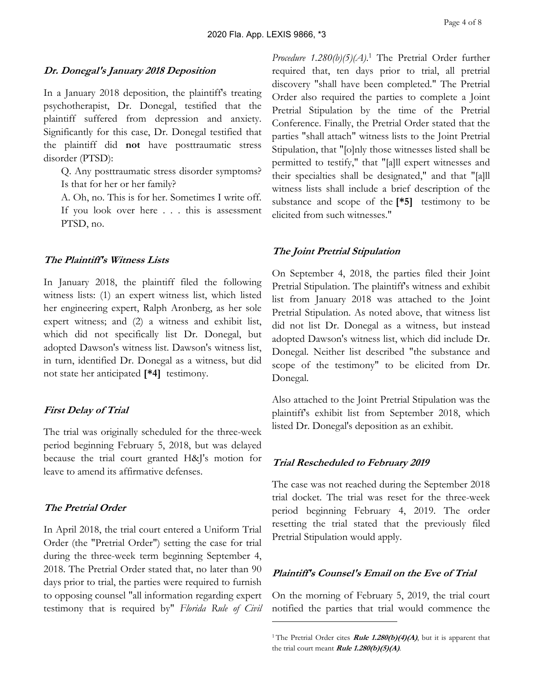### *Dr. Donegal's January 2018 Deposition*

In a January 2018 deposition, the plaintiff's treating psychotherapist, Dr. Donegal, testified that the plaintiff suffered from depression and anxiety. Significantly for this case, Dr. Donegal testified that the plaintiff did **not** have posttraumatic stress disorder (PTSD):

Q. Any posttraumatic stress disorder symptoms? Is that for her or her family?

A. Oh, no. This is for her. Sometimes I write off. If you look over here . . . this is assessment PTSD, no.

#### *The Plaintiff's Witness Lists*

In January 2018, the plaintiff filed the following witness lists: (1) an expert witness list, which listed her engineering expert, Ralph Aronberg, as her sole expert witness; and (2) a witness and exhibit list, which did not specifically list Dr. Donegal, but adopted Dawson's witness list. Dawson's witness list, in turn, identified Dr. Donegal as a witness, but did not state her anticipated **[\*4]** testimony.

#### *First Delay of Trial*

The trial was originally scheduled for the three-week period beginning February 5, 2018, but was delayed because the trial court granted H&J's motion for leave to amend its affirmative defenses.

### *The Pretrial Order*

In April 2018, the trial court entered a Uniform Trial Order (the "Pretrial Order") setting the case for trial during the three-week term beginning September 4, 2018. The Pretrial Order stated that, no later than 90 days prior to trial, the parties were required to furnish to opposing counsel "all information regarding expert testimony that is required by" *Florida Rule of Civil*  *Procedure 1.280(b)(5)(A)*. 1 The Pretrial Order further required that, ten days prior to trial, all pretrial discovery "shall have been completed." The Pretrial Order also required the parties to complete a Joint Pretrial Stipulation by the time of the Pretrial Conference. Finally, the Pretrial Order stated that the parties "shall attach" witness lists to the Joint Pretrial Stipulation, that "[o]nly those witnesses listed shall be permitted to testify," that "[a]ll expert witnesses and their specialties shall be designated," and that "[a]ll witness lists shall include a brief description of the substance and scope of the **[\*5]** testimony to be elicited from such witnesses."

#### *The Joint Pretrial Stipulation*

On September 4, 2018, the parties filed their Joint Pretrial Stipulation. The plaintiff's witness and exhibit list from January 2018 was attached to the Joint Pretrial Stipulation. As noted above, that witness list did not list Dr. Donegal as a witness, but instead adopted Dawson's witness list, which did include Dr. Donegal. Neither list described "the substance and scope of the testimony" to be elicited from Dr. Donegal.

Also attached to the Joint Pretrial Stipulation was the plaintiff's exhibit list from September 2018, which listed Dr. Donegal's deposition as an exhibit.

#### *Trial Rescheduled to February 2019*

The case was not reached during the September 2018 trial docket. The trial was reset for the three-week period beginning February 4, 2019. The order resetting the trial stated that the previously filed Pretrial Stipulation would apply.

### *Plaintiff's Counsel's Email on the Eve of Trial*

On the morning of February 5, 2019, the trial court notified the parties that trial would commence the

<sup>&</sup>lt;sup>1</sup>The Pretrial Order cites *Rule 1.280(b)(4)(A)*, but it is apparent that the trial court meant *Rule 1.280(b)(5)(A)*.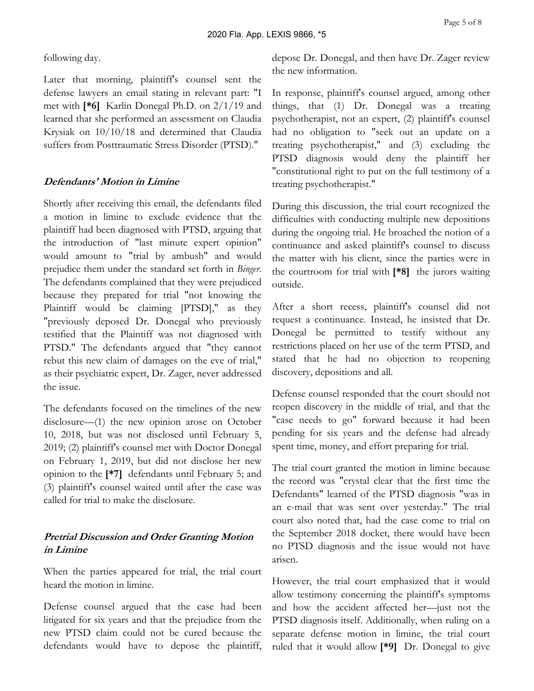following day.

Later that morning, plaintiff's counsel sent the defense lawyers an email stating in relevant part: "I met with **[\*6]** Karlin Donegal Ph.D. on 2/1/19 and learned that she performed an assessment on Claudia Krysiak on 10/10/18 and determined that Claudia suffers from Posttraumatic Stress Disorder (PTSD)."

### *Defendants' Motion in Limine*

Shortly after receiving this email, the defendants filed a motion in limine to exclude evidence that the plaintiff had been diagnosed with PTSD, arguing that the introduction of "last minute expert opinion" would amount to "trial by ambush" and would prejudice them under the standard set forth in *Binger*. The defendants complained that they were prejudiced because they prepared for trial "not knowing the Plaintiff would be claiming [PTSD]," as they "previously deposed Dr. Donegal who previously testified that the Plaintiff was not diagnosed with PTSD." The defendants argued that "they cannot rebut this new claim of damages on the eve of trial," as their psychiatric expert, Dr. Zager, never addressed the issue.

The defendants focused on the timelines of the new disclosure—(1) the new opinion arose on October 10, 2018, but was not disclosed until February 5, 2019; (2) plaintiff's counsel met with Doctor Donegal on February 1, 2019, but did not disclose her new opinion to the **[\*7]** defendants until February 5; and (3) plaintiff's counsel waited until after the case was called for trial to make the disclosure.

## *Pretrial Discussion and Order Granting Motion in Limine*

When the parties appeared for trial, the trial court heard the motion in limine.

Defense counsel argued that the case had been litigated for six years and that the prejudice from the new PTSD claim could not be cured because the defendants would have to depose the plaintiff,

depose Dr. Donegal, and then have Dr. Zager review the new information.

In response, plaintiff's counsel argued, among other things, that (1) Dr. Donegal was a treating psychotherapist, not an expert, (2) plaintiff's counsel had no obligation to "seek out an update on a treating psychotherapist," and (3) excluding the PTSD diagnosis would deny the plaintiff her "constitutional right to put on the full testimony of a treating psychotherapist."

During this discussion, the trial court recognized the difficulties with conducting multiple new depositions during the ongoing trial. He broached the notion of a continuance and asked plaintiff's counsel to discuss the matter with his client, since the parties were in the courtroom for trial with **[\*8]** the jurors waiting outside.

After a short recess, plaintiff's counsel did not request a continuance. Instead, he insisted that Dr. Donegal be permitted to testify without any restrictions placed on her use of the term PTSD, and stated that he had no objection to reopening discovery, depositions and all.

Defense counsel responded that the court should not reopen discovery in the middle of trial, and that the "case needs to go" forward because it had been pending for six years and the defense had already spent time, money, and effort preparing for trial.

The trial court granted the motion in limine because the record was "crystal clear that the first time the Defendants" learned of the PTSD diagnosis "was in an e-mail that was sent over yesterday." The trial court also noted that, had the case come to trial on the September 2018 docket, there would have been no PTSD diagnosis and the issue would not have arisen.

However, the trial court emphasized that it would allow testimony concerning the plaintiff's symptoms and how the accident affected her—just not the PTSD diagnosis itself. Additionally, when ruling on a separate defense motion in limine, the trial court ruled that it would allow **[\*9]** Dr. Donegal to give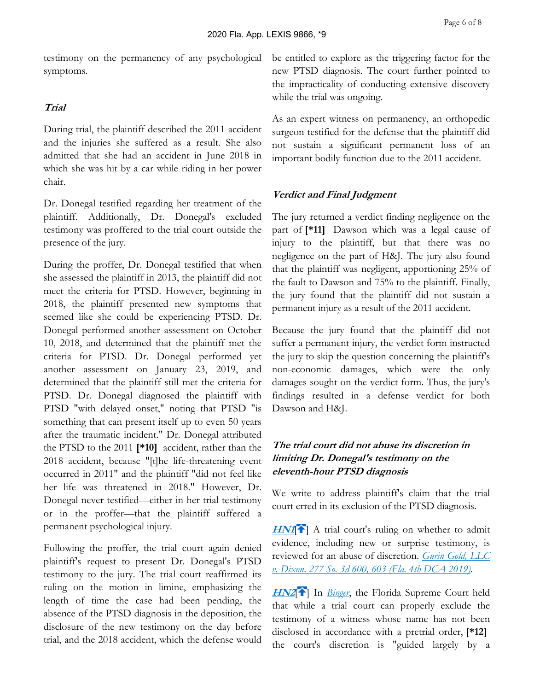testimony on the permanency of any psychological symptoms.

### *Trial*

During trial, the plaintiff described the 2011 accident and the injuries she suffered as a result. She also admitted that she had an accident in June 2018 in which she was hit by a car while riding in her power chair.

Dr. Donegal testified regarding her treatment of the plaintiff. Additionally, Dr. Donegal's excluded testimony was proffered to the trial court outside the presence of the jury.

During the proffer, Dr. Donegal testified that when she assessed the plaintiff in 2013, the plaintiff did not meet the criteria for PTSD. However, beginning in 2018, the plaintiff presented new symptoms that seemed like she could be experiencing PTSD. Dr. Donegal performed another assessment on October 10, 2018, and determined that the plaintiff met the criteria for PTSD. Dr. Donegal performed yet another assessment on January 23, 2019, and determined that the plaintiff still met the criteria for PTSD. Dr. Donegal diagnosed the plaintiff with PTSD "with delayed onset," noting that PTSD "is something that can present itself up to even 50 years after the traumatic incident." Dr. Donegal attributed the PTSD to the 2011 **[\*10]** accident, rather than the 2018 accident, because "[t]he life-threatening event occurred in 2011" and the plaintiff "did not feel like her life was threatened in 2018." However, Dr. Donegal never testified—either in her trial testimony or in the proffer—that the plaintiff suffered a permanent psychological injury.

Following the proffer, the trial court again denied plaintiff's request to present Dr. Donegal's PTSD testimony to the jury. The trial court reaffirmed its ruling on the motion in limine, emphasizing the length of time the case had been pending, the absence of the PTSD diagnosis in the deposition, the disclosure of the new testimony on the day before trial, and the 2018 accident, which the defense would

be entitled to explore as the triggering factor for the new PTSD diagnosis. The court further pointed to the impracticality of conducting extensive discovery while the trial was ongoing.

As an expert witness on permanency, an orthopedic surgeon testified for the defense that the plaintiff did not sustain a significant permanent loss of an important bodily function due to the 2011 accident.

### *Verdict and Final Judgment*

The jury returned a verdict finding negligence on the part of **[\*11]** Dawson which was a legal cause of injury to the plaintiff, but that there was no negligence on the part of H&J. The jury also found that the plaintiff was negligent, apportioning 25% of the fault to Dawson and 75% to the plaintiff. Finally, the jury found that the plaintiff did not sustain a permanent injury as a result of the 2011 accident.

Because the jury found that the plaintiff did not suffer a permanent injury, the verdict form instructed the jury to skip the question concerning the plaintiff's non-economic damages, which were the only damages sought on the verdict form. Thus, the jury's findings resulted in a defense verdict for both Dawson and H&J.

### *The trial court did not abuse its discretion in limiting Dr. Donegal's testimony on the eleventh-hour PTSD diagnosis*

We write to address plaintiff's claim that the trial court erred in its exclusion of the PTSD diagnosis.

*[HN1](https://advance.lexis.com/api/document?collection=cases&id=urn:contentItem:609T-RHJ1-FJM6-60HR-00000-00&context=&link=clscc1)*<sup>2</sup>] A trial court's ruling on whether to admit evidence, including new or surprise testimony, is reviewed for an abuse of discretion. *[Gurin Gold, LLC](https://advance.lexis.com/api/document?collection=cases&id=urn:contentItem:5WJ6-BMG1-JS0R-20W9-00000-00&context=)  [v. Dixon, 277 So. 3d 600, 603 \(Fla. 4th DCA 2019\)](https://advance.lexis.com/api/document?collection=cases&id=urn:contentItem:5WJ6-BMG1-JS0R-20W9-00000-00&context=)*.

<span id="page-5-0"></span>*[HN2](https://advance.lexis.com/api/document?collection=cases&id=urn:contentItem:609T-RHJ1-FJM6-60HR-00000-00&context=&link=clscc2)*<sup> $\uparrow$ </sup> In *[Binger](https://advance.lexis.com/api/document?collection=cases&id=urn:contentItem:3RRM-31X0-003C-X1N9-00000-00&context=)*, the Florida Supreme Court held that while a trial court can properly exclude the testimony of a witness whose name has not been disclosed in accordance with a pretrial order, **[\*12]**  the court's discretion is "guided largely by a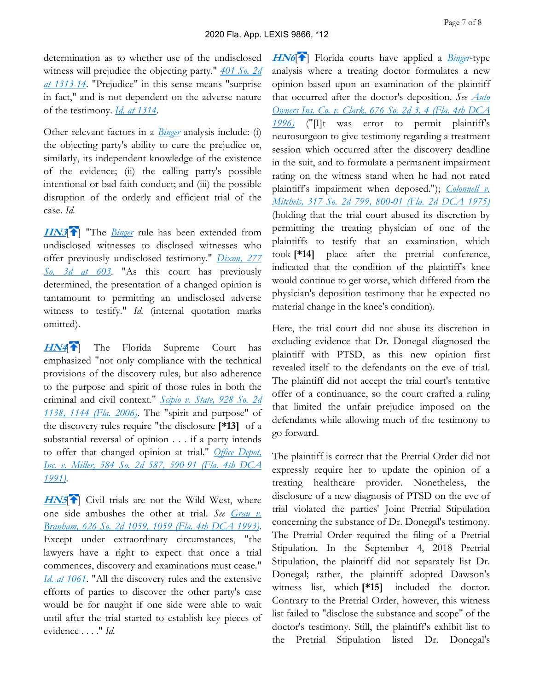determination as to whether use of the undisclosed witness will prejudice the objecting party." *[401 So. 2d](https://advance.lexis.com/api/document?collection=cases&id=urn:contentItem:3RRM-31X0-003C-X1N9-00000-00&context=)  [at 1313-14](https://advance.lexis.com/api/document?collection=cases&id=urn:contentItem:3RRM-31X0-003C-X1N9-00000-00&context=)*. "Prejudice" in this sense means "surprise in fact," and is not dependent on the adverse nature of the testimony. *[Id. at 1314](https://advance.lexis.com/api/document?collection=cases&id=urn:contentItem:3RRM-31X0-003C-X1N9-00000-00&context=)*.

Other relevant factors in a *[Binger](https://advance.lexis.com/api/document?collection=cases&id=urn:contentItem:3RRM-31X0-003C-X1N9-00000-00&context=)* analysis include: (i) the objecting party's ability to cure the prejudice or, similarly, its independent knowledge of the existence of the evidence; (ii) the calling party's possible intentional or bad faith conduct; and (iii) the possible disruption of the orderly and efficient trial of the case. *Id.*

<span id="page-6-0"></span>*[HN3](https://advance.lexis.com/api/document?collection=cases&id=urn:contentItem:609T-RHJ1-FJM6-60HR-00000-00&context=&link=clscc3)*<sup>2</sup>] "The *[Binger](https://advance.lexis.com/api/document?collection=cases&id=urn:contentItem:3RRM-31X0-003C-X1N9-00000-00&context=)* rule has been extended from undisclosed witnesses to disclosed witnesses who offer previously undisclosed testimony." *[Dixon, 277](https://advance.lexis.com/api/document?collection=cases&id=urn:contentItem:5WJ6-BMG1-JS0R-20W9-00000-00&context=)  [So. 3d at 603](https://advance.lexis.com/api/document?collection=cases&id=urn:contentItem:5WJ6-BMG1-JS0R-20W9-00000-00&context=)*. "As this court has previously determined, the presentation of a changed opinion is tantamount to permitting an undisclosed adverse witness to testify." *Id.* (internal quotation marks omitted).

<span id="page-6-1"></span>*[HN4](https://advance.lexis.com/api/document?collection=cases&id=urn:contentItem:609T-RHJ1-FJM6-60HR-00000-00&context=&link=clscc4)*<sup>2</sup> The Florida Supreme Court has emphasized "not only compliance with the technical provisions of the discovery rules, but also adherence to the purpose and spirit of those rules in both the criminal and civil context." *[Scipio v. State, 928 So. 2d](https://advance.lexis.com/api/document?collection=cases&id=urn:contentItem:4J8V-MX10-0039-44RY-00000-00&context=)  [1138, 1144 \(Fla. 2006\)](https://advance.lexis.com/api/document?collection=cases&id=urn:contentItem:4J8V-MX10-0039-44RY-00000-00&context=)*. The "spirit and purpose" of the discovery rules require "the disclosure **[\*13]** of a substantial reversal of opinion . . . if a party intends to offer that changed opinion at trial." *[Office Depot,](https://advance.lexis.com/api/document?collection=cases&id=urn:contentItem:3RX4-BF90-003F-31KJ-00000-00&context=)  [Inc. v. Miller, 584 So. 2d 587, 590-91 \(Fla. 4th DCA](https://advance.lexis.com/api/document?collection=cases&id=urn:contentItem:3RX4-BF90-003F-31KJ-00000-00&context=)  [1991\)](https://advance.lexis.com/api/document?collection=cases&id=urn:contentItem:3RX4-BF90-003F-31KJ-00000-00&context=)*.

<span id="page-6-2"></span>**[HN5](https://advance.lexis.com/api/document?collection=cases&id=urn:contentItem:609T-RHJ1-FJM6-60HR-00000-00&context=&link=clscc5)<sup>[\[](#page-1-2)2]</sup>** Civil trials are not the Wild West, where one side ambushes the other at trial. *See [Grau v.](https://advance.lexis.com/api/document?collection=cases&id=urn:contentItem:3RX4-7R50-003F-321B-00000-00&context=)  [Branham, 626 So. 2d 1059, 1059 \(Fla. 4th DCA 1993\)](https://advance.lexis.com/api/document?collection=cases&id=urn:contentItem:3RX4-7R50-003F-321B-00000-00&context=)*. Except under extraordinary circumstances, "the lawyers have a right to expect that once a trial commences, discovery and examinations must cease." *[Id. at 1061](https://advance.lexis.com/api/document?collection=cases&id=urn:contentItem:3RX4-7R50-003F-321B-00000-00&context=)*. "All the discovery rules and the extensive efforts of parties to discover the other party's case would be for naught if one side were able to wait until after the trial started to establish key pieces of evidence . . . ." *Id.*

<span id="page-6-3"></span>*[HN6](https://advance.lexis.com/api/document?collection=cases&id=urn:contentItem:609T-RHJ1-FJM6-60HR-00000-00&context=&link=clscc6)*[\[](#page-1-3) ] Florida courts have applied a *[Binger](https://advance.lexis.com/api/document?collection=cases&id=urn:contentItem:3RRM-31X0-003C-X1N9-00000-00&context=)*-type analysis where a treating doctor formulates a new opinion based upon an examination of the plaintiff that occurred after the doctor's deposition. *See [Auto](https://advance.lexis.com/api/document?collection=cases&id=urn:contentItem:3RX4-4M50-003F-32VF-00000-00&context=)  [Owners Ins. Co. v. Clark, 676 So. 2d 3, 4 \(Fla. 4th DCA](https://advance.lexis.com/api/document?collection=cases&id=urn:contentItem:3RX4-4M50-003F-32VF-00000-00&context=)  [1996\)](https://advance.lexis.com/api/document?collection=cases&id=urn:contentItem:3RX4-4M50-003F-32VF-00000-00&context=)* ("[I]t was error to permit plaintiff's neurosurgeon to give testimony regarding a treatment session which occurred after the discovery deadline in the suit, and to formulate a permanent impairment rating on the witness stand when he had not rated plaintiff's impairment when deposed."); *[Colonnell v.](https://advance.lexis.com/api/document?collection=cases&id=urn:contentItem:3RRM-6570-003C-W2SY-00000-00&context=)  [Mitchels, 317 So. 2d 799, 800-01 \(Fla. 2d DCA 1975\)](https://advance.lexis.com/api/document?collection=cases&id=urn:contentItem:3RRM-6570-003C-W2SY-00000-00&context=)* (holding that the trial court abused its discretion by permitting the treating physician of one of the plaintiffs to testify that an examination, which took **[\*14]** place after the pretrial conference, indicated that the condition of the plaintiff's knee would continue to get worse, which differed from the physician's deposition testimony that he expected no material change in the knee's condition).

Here, the trial court did not abuse its discretion in excluding evidence that Dr. Donegal diagnosed the plaintiff with PTSD, as this new opinion first revealed itself to the defendants on the eve of trial. The plaintiff did not accept the trial court's tentative offer of a continuance, so the court crafted a ruling that limited the unfair prejudice imposed on the defendants while allowing much of the testimony to go forward.

The plaintiff is correct that the Pretrial Order did not expressly require her to update the opinion of a treating healthcare provider. Nonetheless, the disclosure of a new diagnosis of PTSD on the eve of trial violated the parties' Joint Pretrial Stipulation concerning the substance of Dr. Donegal's testimony. The Pretrial Order required the filing of a Pretrial Stipulation. In the September 4, 2018 Pretrial Stipulation, the plaintiff did not separately list Dr. Donegal; rather, the plaintiff adopted Dawson's witness list, which **[\*15]** included the doctor. Contrary to the Pretrial Order, however, this witness list failed to "disclose the substance and scope" of the doctor's testimony. Still, the plaintiff's exhibit list to the Pretrial Stipulation listed Dr. Donegal's